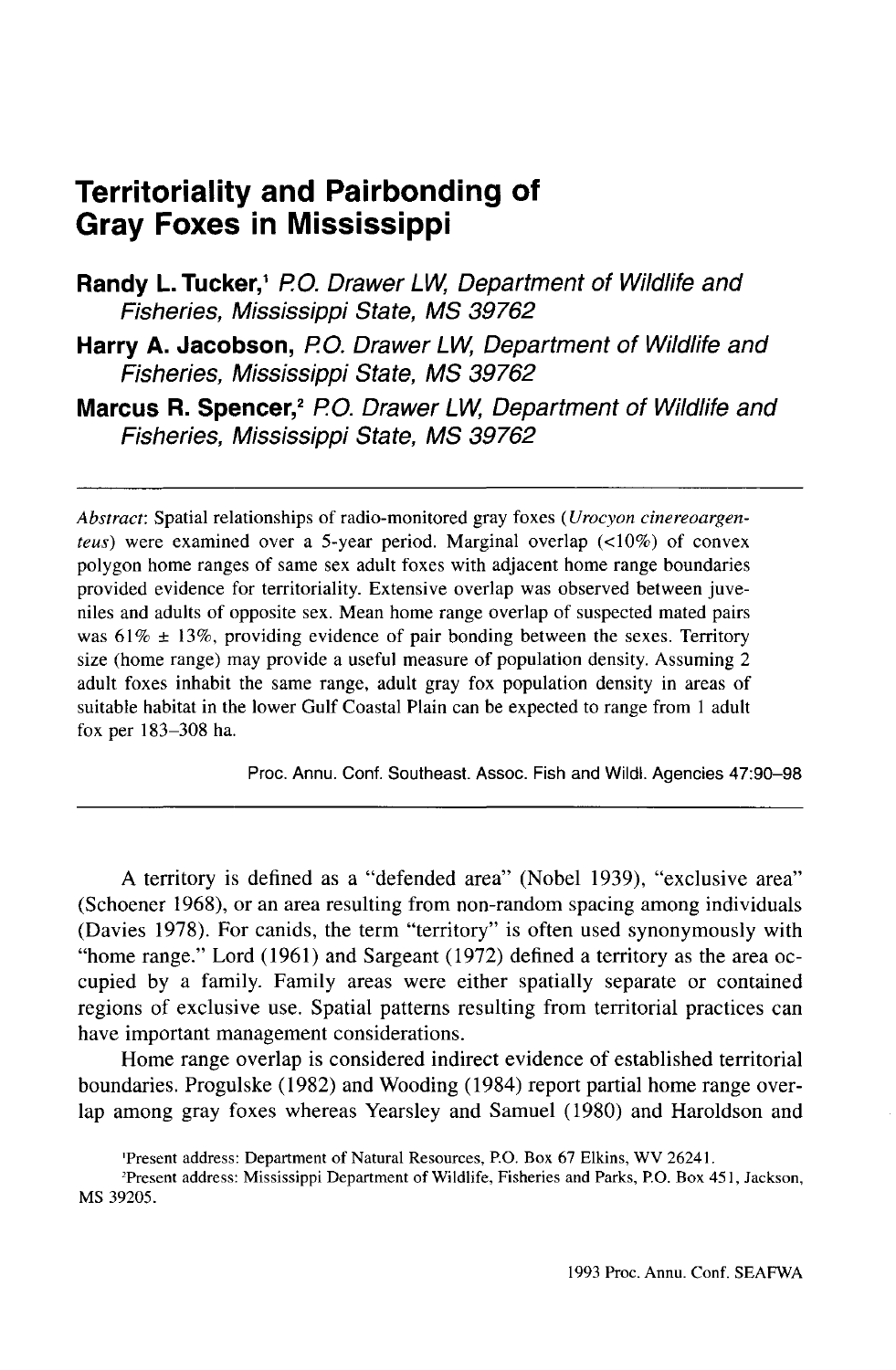# **Territoriality and Pairbonding of Gray Foxes in Mississippi**

Randy L. Tucker,<sup>1</sup> P.O. Drawer LW, Department of Wildlife and Fisheries, Mississippi State, MS 39762

**Harry A. Jacobson,** P.O. Drawer LW, Department of Wildlife and Fisheries, Mississippi State, MS 39762

Marcus R. Spencer,<sup>2</sup> P.O. Drawer LW, Department of Wildlife and Fisheries, Mississippi State, MS 39762

*Abstract:* Spatial relationships of radio-monitored gray foxes *(Urocyon cinereoargenteus)* were examined over a 5-year period. Marginal overlap (<10%) of convex polygon home ranges of same sex adult foxes with adjacent home range boundaries provided evidence for territoriality. Extensive overlap was observed between juveniles and adults of opposite sex. Mean home range overlap of suspected mated pairs was  $61\% \pm 13\%$ , providing evidence of pair bonding between the sexes. Territory size (home range) may provide a useful measure of population density. Assuming 2 adult foxes inhabit the same range, adult gray fox population density in areas of suitable habitat in the lower Gulf Coastal Plain can be expected to range from 1 adult fox per 183-308 ha.

Proc. Annu. Conf. Southeast. Assoc. Fish and Wildl. Agencies 47:90-98

A territory is defined as a "defended area" (Nobel 1939), "exclusive area" (Schoener 1968), or an area resulting from non-random spacing among individuals (Davies 1978). For canids, the term "territory" is often used synonymously with "home range." Lord (1961) and Sargeant (1972) defined a territory as the area occupied by a family. Family areas were either spatially separate or contained regions of exclusive use. Spatial patterns resulting from territorial practices can have important management considerations.

Home range overlap is considered indirect evidence of established territorial boundaries. Progulske (1982) and Wooding (1984) report partial home range overlap among gray foxes whereas Yearsley and Samuel (1980) and Haroldson and

2 Present address: Mississippi Department of Wildlife, Fisheries and Parks, P.O. Box 451, Jackson, MS 39205.

<sup>&#</sup>x27;Present address: Department of Natural Resources, P.O. Box 67 Elkins, WV 26241.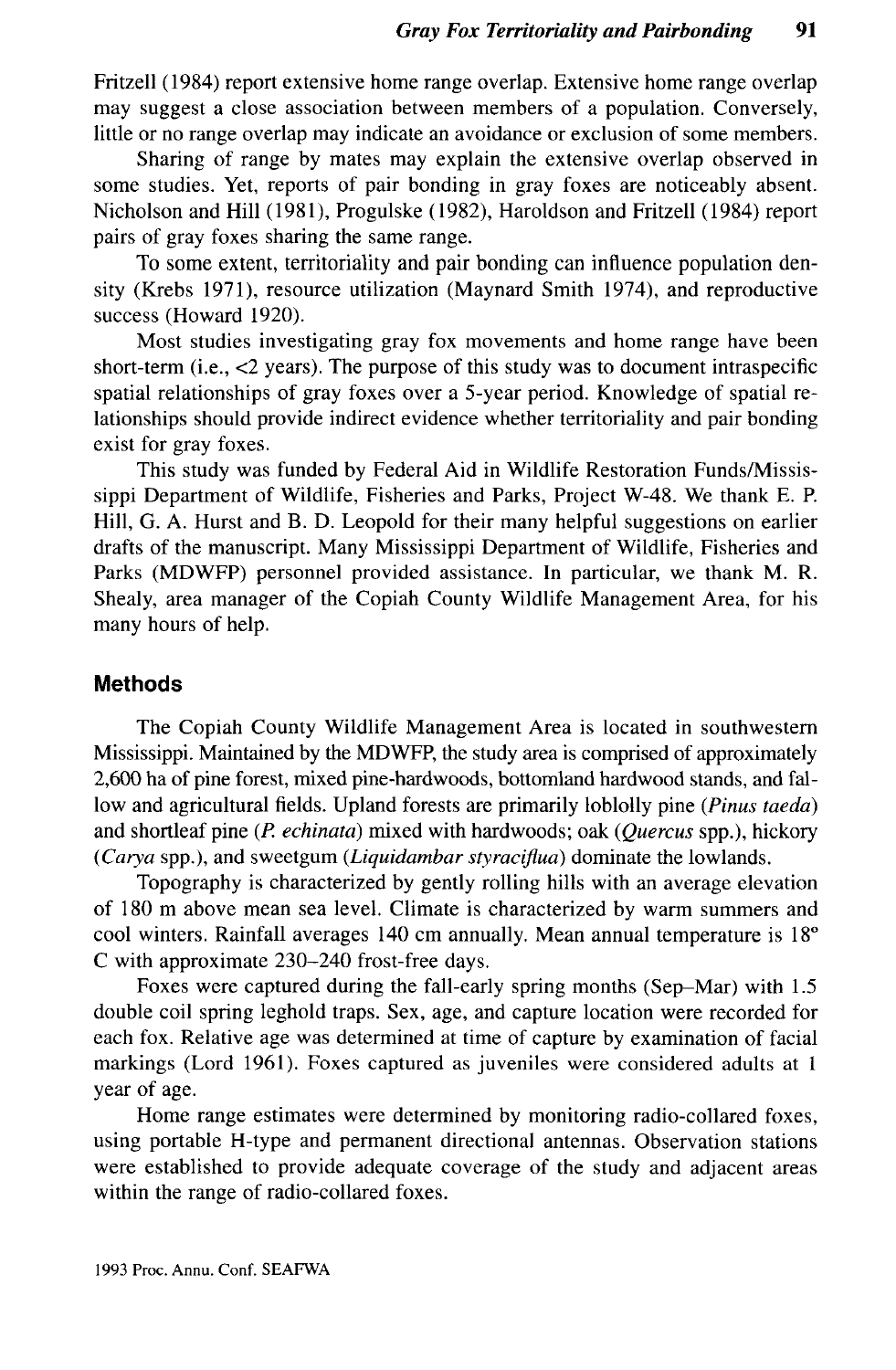Fritzell (1984) report extensive home range overlap. Extensive home range overlap may suggest a close association between members of a population. Conversely, little or no range overlap may indicate an avoidance or exclusion of some members.

Sharing of range by mates may explain the extensive overlap observed in some studies. Yet, reports of pair bonding in gray foxes are noticeably absent. Nicholson and Hill (1981), Progulske (1982), Haroldson and Fritzell (1984) report pairs of gray foxes sharing the same range.

To some extent, territoriality and pair bonding can influence population density (Krebs 1971), resource utilization (Maynard Smith 1974), and reproductive success (Howard 1920).

Most studies investigating gray fox movements and home range have been short-term (i.e., <2 years). The purpose of this study was to document intraspecific spatial relationships of gray foxes over a 5-year period. Knowledge of spatial relationships should provide indirect evidence whether territoriality and pair bonding exist for gray foxes.

This study was funded by Federal Aid in Wildlife Restoration Funds/Mississippi Department of Wildlife, Fisheries and Parks, Project W-48. We thank E. P. Hill, G. A. Hurst and B. D. Leopold for their many helpful suggestions on earlier drafts of the manuscript. Many Mississippi Department of Wildlife, Fisheries and Parks (MDWFP) personnel provided assistance. In particular, we thank M. R. Shealy, area manager of the Copiah County Wildlife Management Area, for his many hours of help.

## **Methods**

The Copiah County Wildlife Management Area is located in southwestern Mississippi. Maintained by the MDWFP, the study area is comprised of approximately 2,600 ha of pine forest, mixed pine-hardwoods, bottomland hardwood stands, and fallow and agricultural fields. Upland forests are primarily loblolly pine *(Pinus taeda)* and shortleaf pine *(P. echinata)* mixed with hardwoods; oak *(Quercus* spp.), hickory *(Carya* spp.), and sweetgum *(Liquidambar styraciflua)* dominate the lowlands.

Topography is characterized by gently rolling hills with an average elevation of 180 m above mean sea level. Climate is characterized by warm summers and cool winters. Rainfall averages 140 cm annually. Mean annual temperature is 18° C with approximate 230-240 frost-free days.

Foxes were captured during the fall-early spring months (Sep-Mar) with 1.5 double coil spring leghold traps. Sex, age, and capture location were recorded for each fox. Relative age was determined at time of capture by examination of facial markings (Lord 1961). Foxes captured as juveniles were considered adults at 1 year of age.

Home range estimates were determined by monitoring radio-collared foxes, using portable H-type and permanent directional antennas. Observation stations were established to provide adequate coverage of the study and adjacent areas within the range of radio-collared foxes.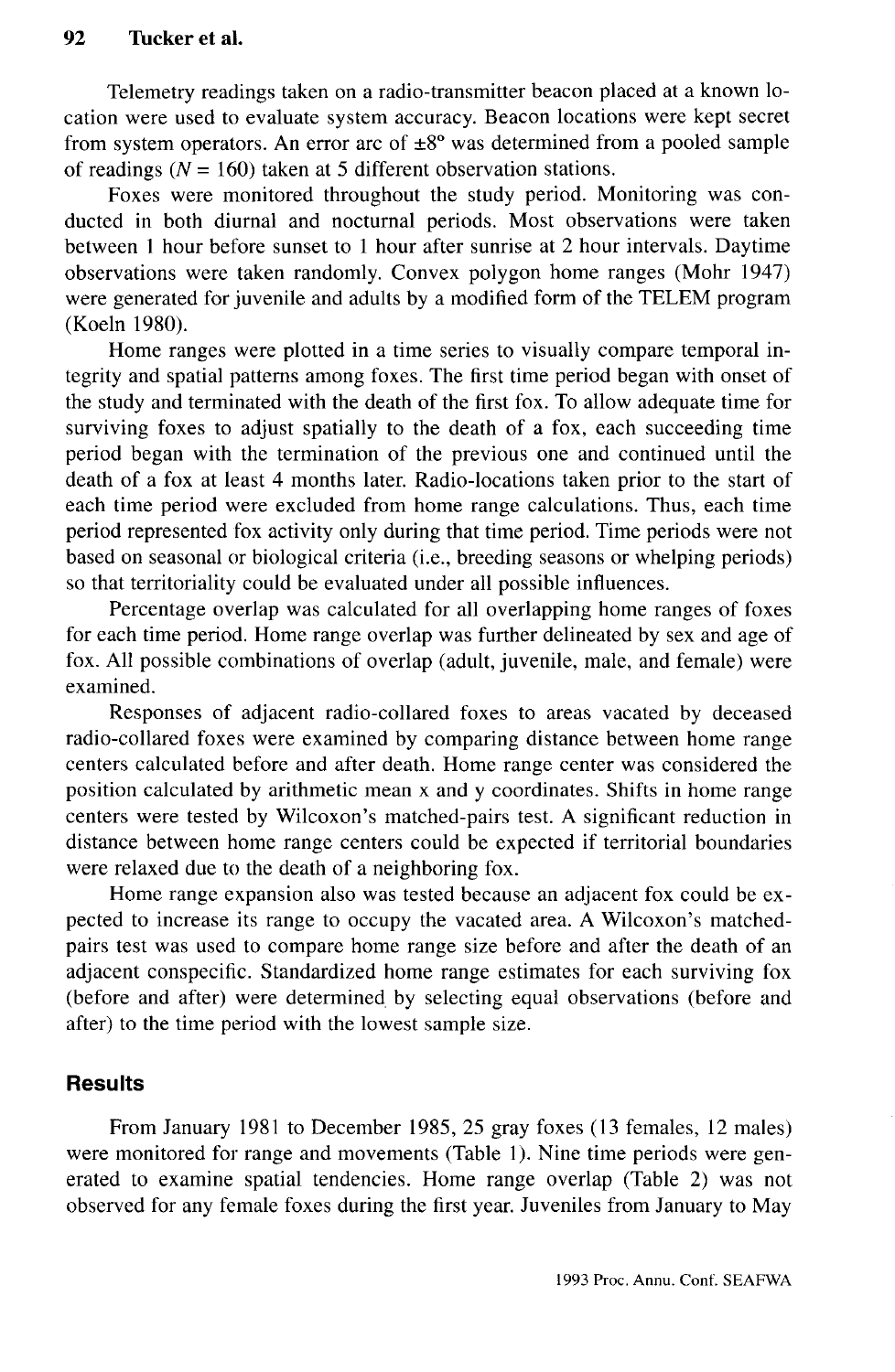Telemetry readings taken on a radio-transmitter beacon placed at a known location were used to evaluate system accuracy. Beacon locations were kept secret from system operators. An error arc of  $\pm 8^{\circ}$  was determined from a pooled sample of readings  $(N = 160)$  taken at 5 different observation stations.

Foxes were monitored throughout the study period. Monitoring was conducted in both diurnal and nocturnal periods. Most observations were taken between 1 hour before sunset to 1 hour after sunrise at 2 hour intervals. Daytime observations were taken randomly. Convex polygon home ranges (Mohr 1947) were generated for juvenile and adults by a modified form of the TELEM program (Koeln 1980).

Home ranges were plotted in a time series to visually compare temporal integrity and spatial patterns among foxes. The first time period began with onset of the study and terminated with the death of the first fox. To allow adequate time for surviving foxes to adjust spatially to the death of a fox, each succeeding time period began with the termination of the previous one and continued until the death of a fox at least 4 months later. Radio-locations taken prior to the start of each time period were excluded from home range calculations. Thus, each time period represented fox activity only during that time period. Time periods were not based on seasonal or biological criteria (i.e., breeding seasons or whelping periods) so that territoriality could be evaluated under all possible influences.

Percentage overlap was calculated for all overlapping home ranges of foxes for each time period. Home range overlap was further delineated by sex and age of fox. All possible combinations of overlap (adult, juvenile, male, and female) were examined.

Responses of adjacent radio-collared foxes to areas vacated by deceased radio-collared foxes were examined by comparing distance between home range centers calculated before and after death. Home range center was considered the position calculated by arithmetic mean x and y coordinates. Shifts in home range centers were tested by Wilcoxon's matched-pairs test. A significant reduction in distance between home range centers could be expected if territorial boundaries were relaxed due to the death of a neighboring fox.

Home range expansion also was tested because an adjacent fox could be expected to increase its range to occupy the vacated area. A Wilcoxon's matchedpairs test was used to compare home range size before and after the death of an adjacent conspecific. Standardized home range estimates for each surviving fox (before and after) were determined by selecting equal observations (before and after) to the time period with the lowest sample size.

## **Results**

From January 1981 to December 1985, 25 gray foxes (13 females, 12 males) were monitored for range and movements (Table 1). Nine time periods were generated to examine spatial tendencies. Home range overlap (Table 2) was not observed for any female foxes during the first year. Juveniles from January to May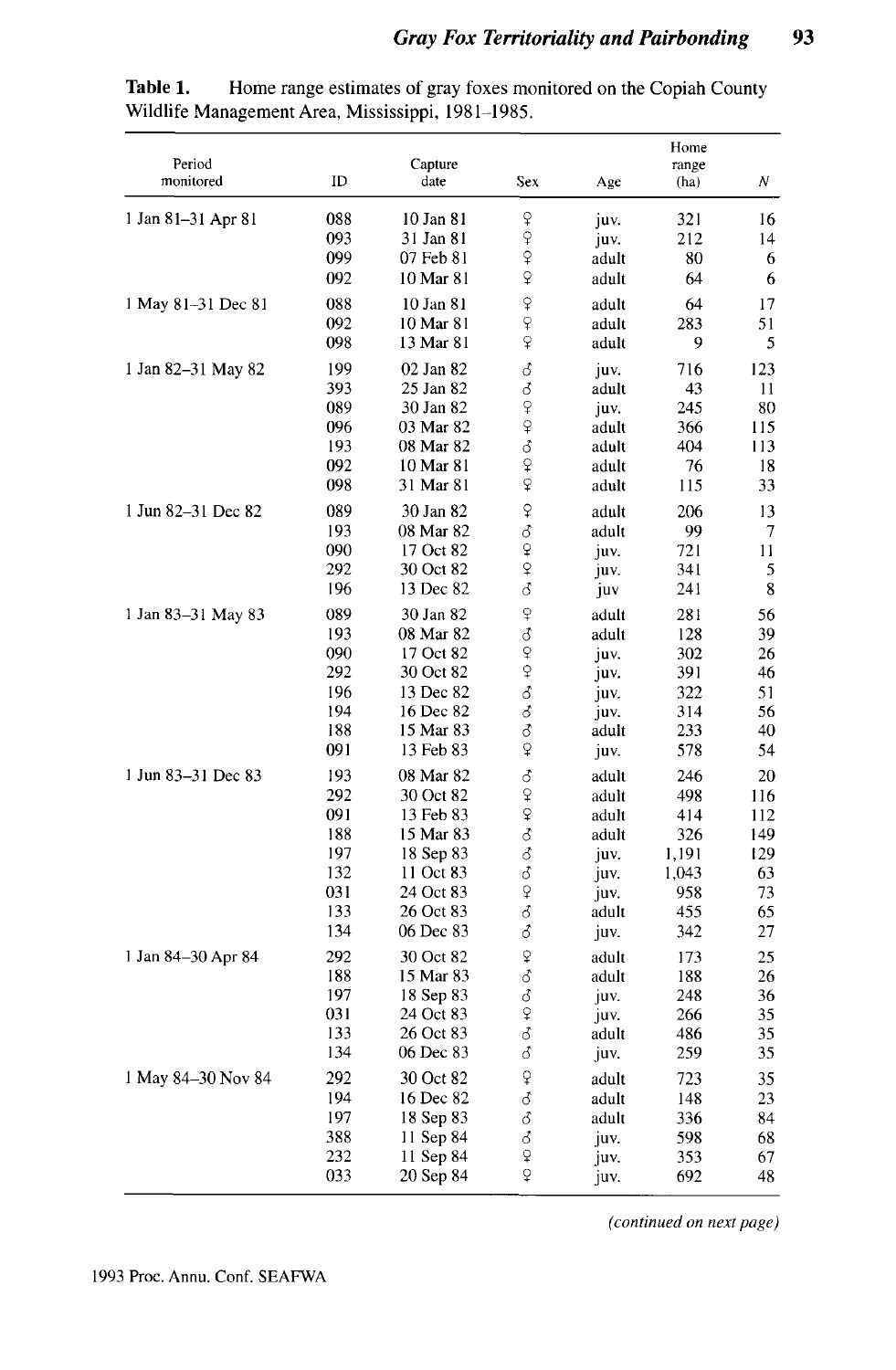| Period<br>monitored | ID         | Capture<br>date        | Sex                       | Age            | Home<br>range<br>(ha) | Ν        |
|---------------------|------------|------------------------|---------------------------|----------------|-----------------------|----------|
| 1 Jan 81-31 Apr 81  | 088<br>093 | 10 Jan 81<br>31 Jan 81 | ¥<br>$\varphi$            | juv.<br>juv.   | 321<br>212            | 16<br>14 |
|                     | 099        | 07 Feb 81              | $\varphi$                 | adult          | 80                    | 6        |
|                     | 092        | 10 Mar 81              | ♀                         | adult          | 64                    | 6        |
| 1 May 81-31 Dec 81  | 088        | 10 Jan 81              | ₽                         | adult          | 64                    | 17       |
|                     | 092        | 10 Mar 81              | $\overline{Q}$            | adult          | 283                   | 51       |
|                     | 098        | 13 Mar 81              | $\overline{P}$            | adult          | 9                     | 5        |
| 1 Jan 82–31 May 82  | 199        | 02 Jan 82              | $\delta$                  | juv.           | 716                   | 123      |
|                     | 393        | 25 Jan 82              | 3                         | adult          | 43                    | 11       |
|                     | 089        | 30 Jan 82              | $\overline{P}$            | juv.           | 245                   | 80       |
|                     | 096        | 03 Mar 82              | $\varphi$                 | adult          | 366                   | 115      |
|                     | 193        | 08 Mar 82              | 8                         | adult          | 404                   | 113      |
|                     | 092<br>098 | 10 Mar 81<br>31 Mar 81 | $\mathsf{P}$<br>$\varphi$ | adult<br>adult | 76<br>115             | 18<br>33 |
|                     |            |                        |                           |                |                       |          |
| 1 Jun 82-31 Dec 82  | 089        | 30 Jan 82              | $\varphi$                 | adult          | 206                   | 13       |
|                     | 193<br>090 | 08 Mar 82<br>17 Oct 82 | ♂<br>$\varphi$            | adult          | 99<br>721             | 7<br>11  |
|                     | 292        | 30 Oct 82              | $\hat{Q}$                 | juv.<br>juv.   | 341                   | 5        |
|                     | 196        | 13 Dec 82              | ₫                         | juv            | 241                   | 8        |
| 1 Jan 83-31 May 83  | 089        | 30 Jan 82              | $\overline{Q}$            | adult          | 281                   | 56       |
|                     | 193        | 08 Mar 82              | ♂                         | adult          | 128                   | 39       |
|                     | 090        | 17 Oct 82              |                           | juv.           | 302                   | 26       |
|                     | 292        | 30 Oct 82              | $\frac{Q}{Q}$             | juv.           | 391                   | 46       |
|                     | 196        | 13 Dec 82              | ♂                         | juv.           | 322                   | 51       |
|                     | 194        | 16 Dec 82              | $\vec{\delta}$            | juv.           | 314                   | 56       |
|                     | 188        | 15 Mar 83              | ්                         | adult          | 233                   | 40       |
|                     | 091        | 13 Feb 83              | $\overline{P}$            | juv.           | 578                   | 54       |
| 1 Jun 83-31 Dec 83  | 193        | 08 Mar 82              | ♂                         | adult          | 246                   | 20       |
|                     | 292        | 30 Oct 82              | $\varphi$                 | adult          | 498                   | 116      |
|                     | 091        | 13 Feb 83              | $\hat{P}$                 | adult          | 414                   | 112      |
|                     | 188        | 15 Mar 83              | ්                         | adult          | 326                   | 149      |
|                     | 197        | 18 Sep 83              | ₫                         | juv.           | 1,191                 | 129      |
|                     | 132        | 11 Oct 83              | ♂                         | juv.           | 1,043                 | 63       |
|                     | 031<br>133 | 24 Oct 83<br>26 Oct 83 | $\overline{P}$<br>♂       | juv.           | 958<br>455            | 73<br>65 |
|                     | 134        | 06 Dec 83              | 3                         | adult<br>juv.  | 342                   | 27       |
| 1 Jan 84-30 Apr 84  | 292        | 30 Oct 82              | $\hat{P}$                 | adult          | 173                   | 25       |
|                     | 188        | 15 Mar 83              | ♂                         | adult          | 188                   | 26       |
|                     | 197        | 18 Sep 83              | ♂                         | juv.           | 248                   | 36       |
|                     | 031        | 24 Oct 83              | $\hat{P}$                 | juv.           | 266                   | 35       |
|                     | 133        | 26 Oct 83              | 8                         | adult          | 486                   | 35       |
|                     | 134        | 06 Dec 83              | ♂                         | juv.           | 259                   | 35       |
| 1 May 84–30 Nov 84  | 292        | 30 Oct 82              | $\mathfrak{P}$            | adult          | 723                   | 35       |
|                     | 194        | 16 Dec 82              | 3                         | adult          | 148                   | 23       |
|                     | 197        | 18 Sep 83              | δ                         | adult          | 336                   | 84       |
|                     | 388        | 11 Sep 84              | ♂                         | juv.           | 598                   | 68       |
|                     | 232        | 11 Sep 84              | ¥                         | juv.           | 353                   | 67       |
|                     | 033        | 20 Sep 84              | ò                         | juv.           | 692                   | 48       |

Table 1. Home range estimates of gray foxes monitored on the Copiah County Wildlife Management Area, Mississippi, 1981-1985.

*(continued on next page)*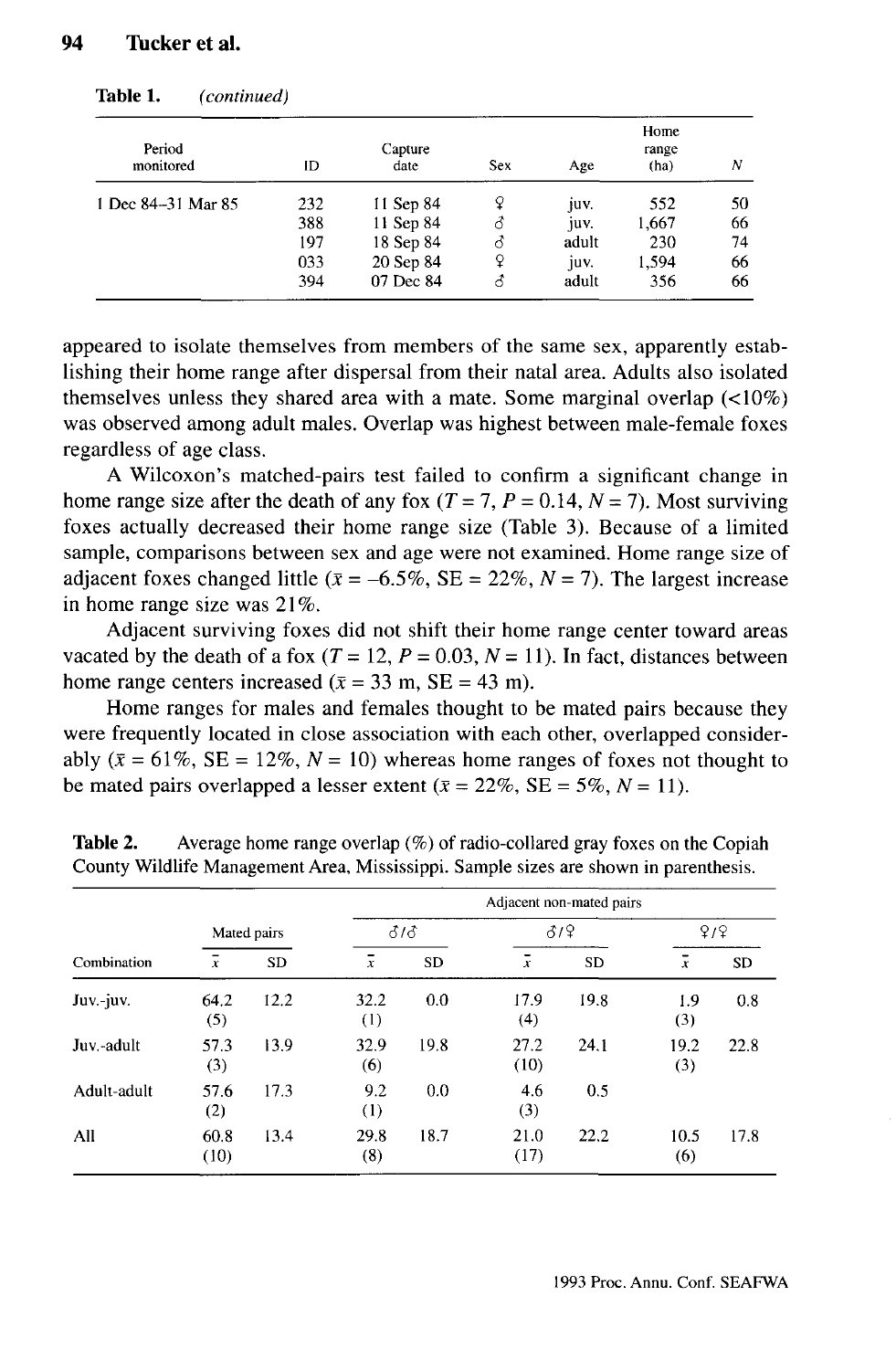| Period<br>monitored | Capture<br>ID<br>date |           | <b>Sex</b> | Age   | Home<br>range<br>(ha) | N  |
|---------------------|-----------------------|-----------|------------|-------|-----------------------|----|
| 1 Dec 84-31 Mar 85  | 232                   | 11 Sep 84 | ¥          | juv.  | 552                   | 50 |
|                     | 388                   | 11 Sep 84 | 3          | juv.  | 1,667                 | 66 |
|                     | 197                   | 18 Sep 84 | ੇ          | adult | 230                   | 74 |
|                     | 033                   | 20 Sep 84 | ¥          | juv.  | 1.594                 | 66 |
|                     | 394                   | 07 Dec 84 | ਨ          | adult | 356                   | 66 |

**Table 1.** *(continued)*

appeared to isolate themselves from members of the same sex, apparently establishing their home range after dispersal from their natal area. Adults also isolated themselves unless they shared area with a mate. Some marginal overlap (<10%) was observed among adult males. Overlap was highest between male-female foxes regardless of age class.

A Wilcoxon's matched-pairs test failed to confirm a significant change in home range size after the death of any fox  $(T = 7, P = 0.14, N = 7)$ . Most surviving foxes actually decreased their home range size (Table 3). Because of a limited sample, comparisons between sex and age were not examined. Home range size of adjacent foxes changed little ( $\bar{x} = -6.5\%$ , SE = 22%, N = 7). The largest increase in home range size was 21%.

Adjacent surviving foxes did not shift their home range center toward areas vacated by the death of a fox  $(T = 12, P = 0.03, N = 11)$ . In fact, distances between home range centers increased  $(\bar{x} = 33 \text{ m}, \text{SE} = 43 \text{ m})$ .

Home ranges for males and females thought to be mated pairs because they were frequently located in close association with each other, overlapped considerably  $(\bar{x} = 61\%, \text{SE} = 12\%, N = 10)$  whereas home ranges of foxes not thought to be mated pairs overlapped a lesser extent  $(\bar{x} = 22\%, \text{SE} = 5\%, N = 11)$ .

|             |              |             | Adjacent non-mated pairs |      |                |           |             |      |
|-------------|--------------|-------------|--------------------------|------|----------------|-----------|-------------|------|
|             |              | Mated pairs |                          | 313  |                | 319       |             | 9/9  |
| Combination | $\bar{x}$    | <b>SD</b>   | $\overline{x}$           | SD   | $\overline{x}$ | <b>SD</b> | $\bar{x}$   | SD   |
| Juv.-juv.   | 64.2<br>(5)  | 12.2        | 32.2<br>(1)              | 0.0  | 17.9<br>(4)    | 19.8      | 1.9<br>(3)  | 0.8  |
| Juv.-adult  | 57.3<br>(3)  | 13.9        | 32.9<br>(6)              | 19.8 | 27.2<br>(10)   | 24.1      | 19.2<br>(3) | 22.8 |
| Adult-adult | 57.6<br>(2)  | 17.3        | 9.2<br>$\left(1\right)$  | 0.0  | 4.6<br>(3)     | 0.5       |             |      |
| All         | 60.8<br>(10) | 13.4        | 29.8<br>(8)              | 18.7 | 21.0<br>(17)   | 22.2      | 10.5<br>(6) | 17.8 |

**Table 2.** Average home range overlap (%) of radio-collared gray foxes on the Copiah County Wildlife Management Area, Mississippi. Sample sizes are shown in parenthesis.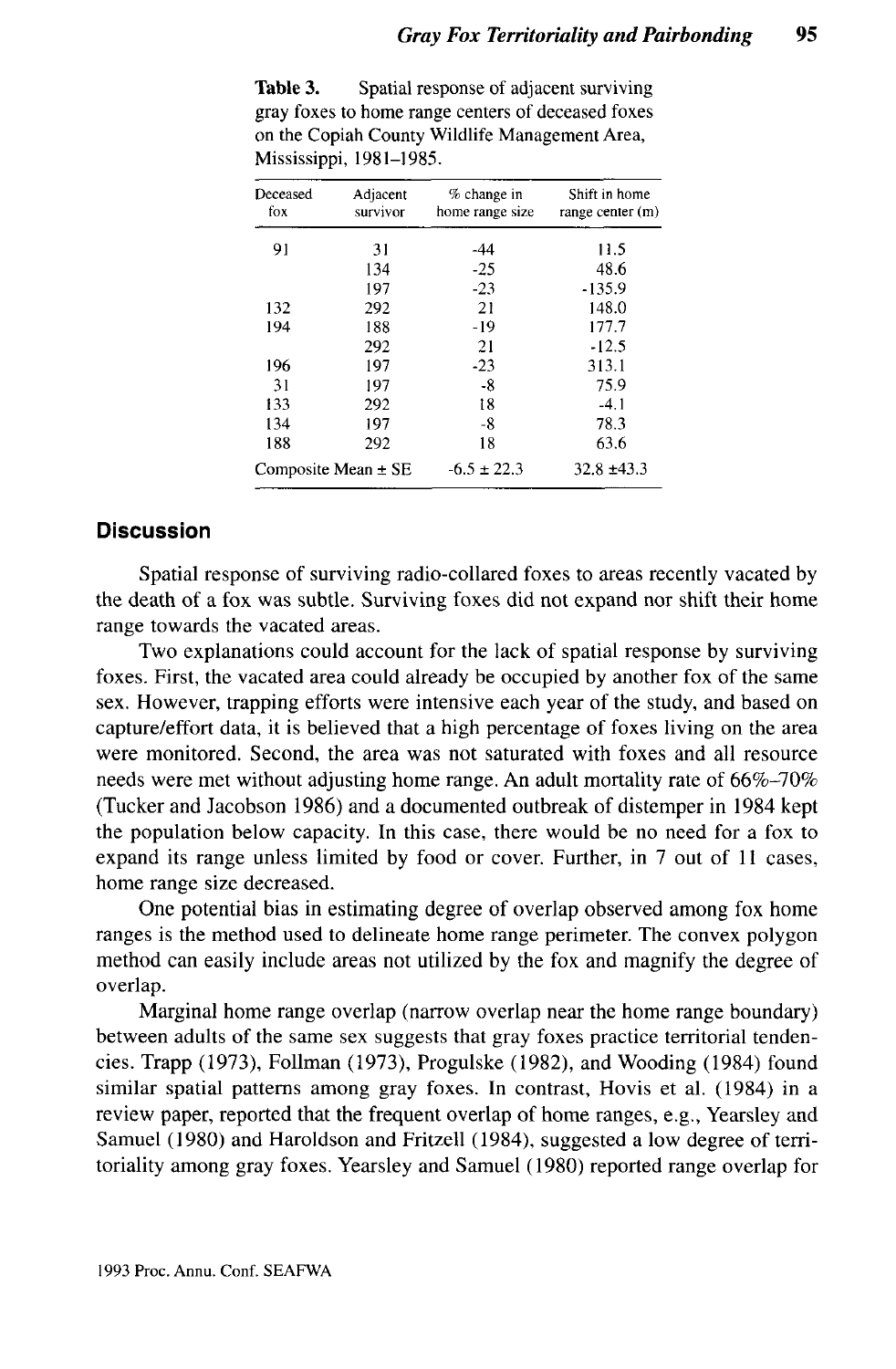| Deceased | Adjacent                | % change in     | Shift in home    |
|----------|-------------------------|-----------------|------------------|
| fox      | survivor                | home range size | range center (m) |
| 91       | 31                      | -44             | 11.5             |
|          | 134                     | $-25$           | 48.6             |
|          | 197                     | $-23$           | $-135.9$         |
| 132      | 292                     | 21              | 148.0            |
| 194      | 188                     | $-19$           | 177.7            |
|          | 292                     | 21              | $-12.5$          |
| 196      | 197                     | $-23$           | 313.1            |
| 31       | 197                     | -8              | 75.9             |
| 133      | 292                     | 18              | $-4.1$           |
| 134      | 197                     | -8              | 78.3             |
| 188      | 292                     | 18              | 63.6             |
|          | Composite Mean $\pm$ SE | $-6.5 \pm 22.3$ | $32.8 \pm 43.3$  |

**Table 3.** Spatial response of adjacent surviving gray foxes to home range centers of deceased foxes on the Copiah County Wildlife Management Area, Mississippi, 1981-1985.

## **Discussion**

Spatial response of surviving radio-collared foxes to areas recently vacated by the death of a fox was subtle. Surviving foxes did not expand nor shift their home range towards the vacated areas.

Two explanations could account for the lack of spatial response by surviving foxes. First, the vacated area could already be occupied by another fox of the same sex. However, trapping efforts were intensive each year of the study, and based on capture/effort data, it is believed that a high percentage of foxes living on the area were monitored. Second, the area was not saturated with foxes and all resource needs were met without adjusting home range. An adult mortality rate of 66%-70% (Tucker and Jacobson 1986) and a documented outbreak of distemper in 1984 kept the population below capacity. In this case, there would be no need for a fox to expand its range unless limited by food or cover. Further, in 7 out of 11 cases, home range size decreased.

One potential bias in estimating degree of overlap observed among fox home ranges is the method used to delineate home range perimeter. The convex polygon method can easily include areas not utilized by the fox and magnify the degree of overlap.

Marginal home range overlap (narrow overlap near the home range boundary) between adults of the same sex suggests that gray foxes practice territorial tendencies. Trapp (1973), Foilman (1973), Progulske (1982), and Wooding (1984) found similar spatial patterns among gray foxes. In contrast, Hovis et al. (1984) in a review paper, reported that the frequent overlap of home ranges, e.g., Yearsley and Samuel (1980) and Haroldson and Fritzell (1984), suggested a low degree of territoriality among gray foxes. Yearsley and Samuel (1980) reported range overlap for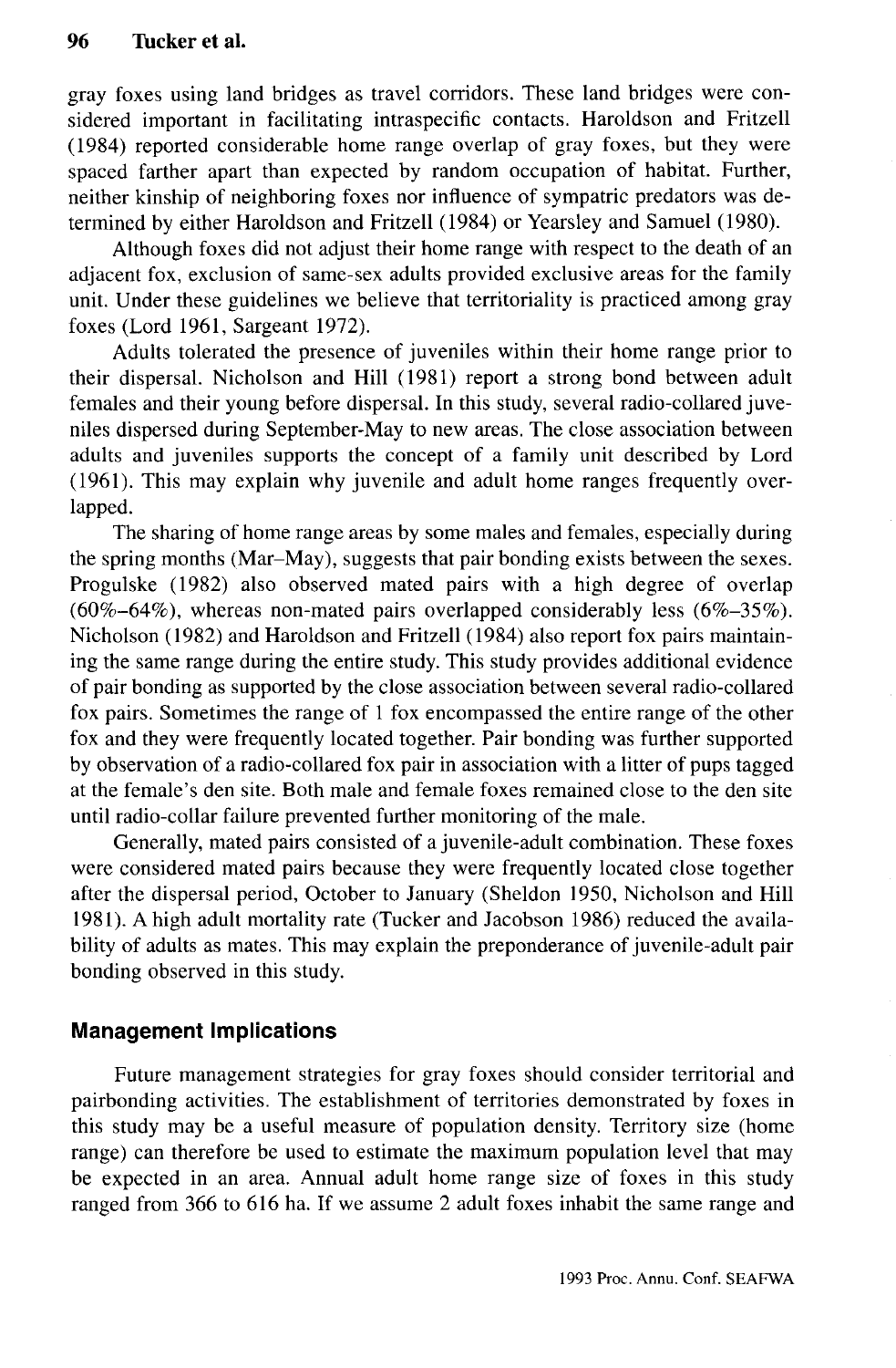gray foxes using land bridges as travel corridors. These land bridges were considered important in facilitating intraspecific contacts. Haroldson and Fritzell (1984) reported considerable home range overlap of gray foxes, but they were spaced farther apart than expected by random occupation of habitat. Further, neither kinship of neighboring foxes nor influence of sympatric predators was determined by either Haroldson and Fritzell (1984) or Yearsley and Samuel (1980).

Although foxes did not adjust their home range with respect to the death of an adjacent fox, exclusion of same-sex adults provided exclusive areas for the family unit. Under these guidelines we believe that territoriality is practiced among gray foxes (Lord 1961, Sargeant 1972).

Adults tolerated the presence of juveniles within their home range prior to their dispersal. Nicholson and Hill (1981) report a strong bond between adult females and their young before dispersal. In this study, several radio-collared juveniles dispersed during September-May to new areas. The close association between adults and juveniles supports the concept of a family unit described by Lord (1961). This may explain why juvenile and adult home ranges frequently overlapped.

The sharing of home range areas by some males and females, especially during the spring months (Mar-May), suggests that pair bonding exists between the sexes. Progulske (1982) also observed mated pairs with a high degree of overlap  $(60\% - 64\%)$ , whereas non-mated pairs overlapped considerably less  $(6\% - 35\%)$ . Nicholson (1982) and Haroldson and Fritzell (1984) also report fox pairs maintaining the same range during the entire study. This study provides additional evidence of pair bonding as supported by the close association between several radio-collared fox pairs. Sometimes the range of 1 fox encompassed the entire range of the other fox and they were frequently located together. Pair bonding was further supported by observation of a radio-collared fox pair in association with a litter of pups tagged at the female's den site. Both male and female foxes remained close to the den site until radio-collar failure prevented further monitoring of the male.

Generally, mated pairs consisted of a juvenile-adult combination. These foxes were considered mated pairs because they were frequently located close together after the dispersal period, October to January (Sheldon 1950, Nicholson and Hill 1981). A high adult mortality rate (Tucker and Jacobson 1986) reduced the availability of adults as mates. This may explain the preponderance of juvenile-adult pair bonding observed in this study.

## **Management Implications**

Future management strategies for gray foxes should consider territorial and pairbonding activities. The establishment of territories demonstrated by foxes in this study may be a useful measure of population density. Territory size (home range) can therefore be used to estimate the maximum population level that may be expected in an area. Annual adult home range size of foxes in this study ranged from 366 to 616 ha. If we assume 2 adult foxes inhabit the same range and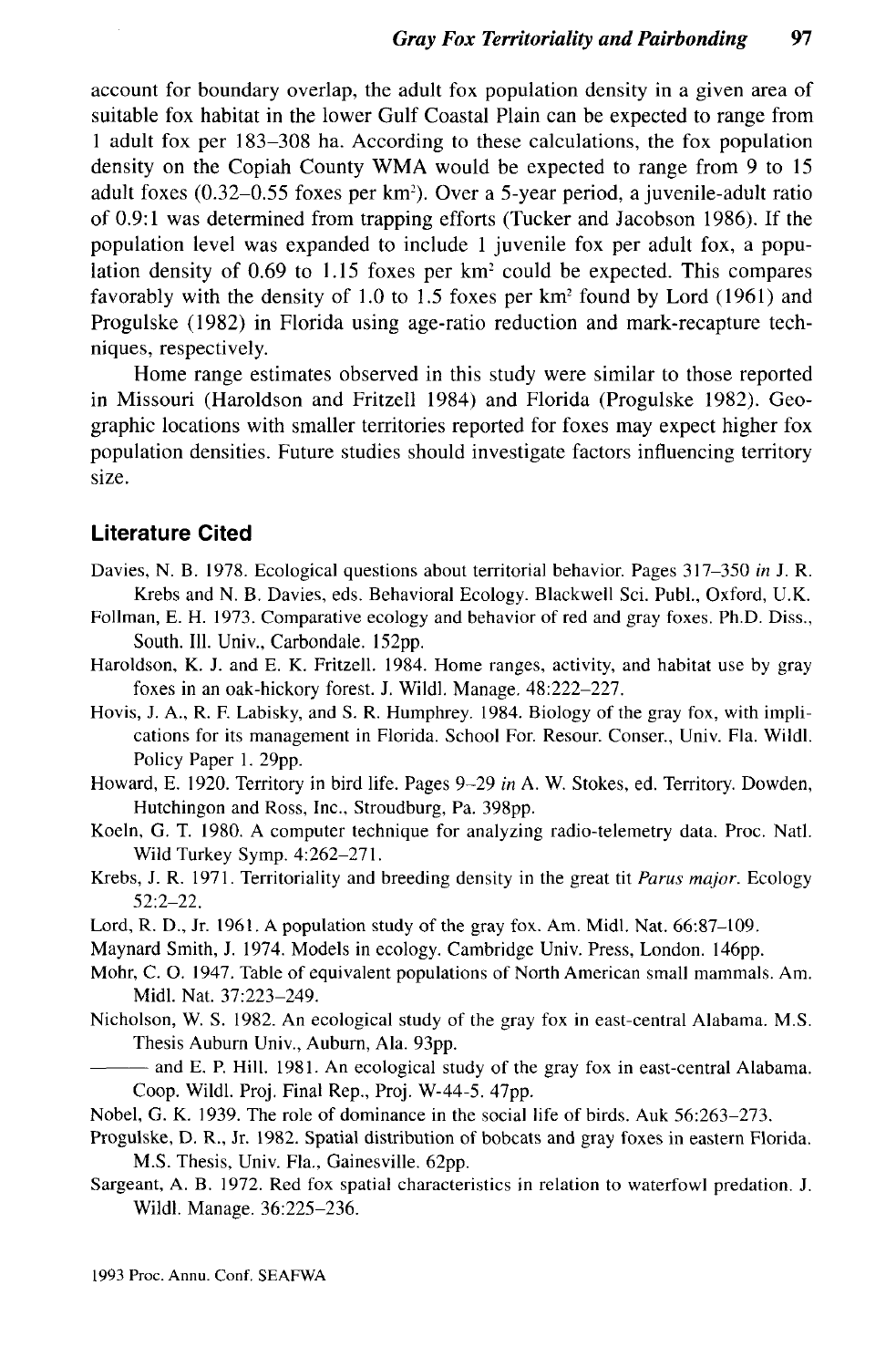account for boundary overlap, the adult fox population density in a given area of suitable fox habitat in the lower Gulf Coastal Plain can be expected to range from 1 adult fox per 183-308 ha. According to these calculations, the fox population density on the Copiah County WMA would be expected to range from 9 to 15 adult foxes (0.32–0.55 foxes per km<sup>2</sup>). Over a 5-year period, a juvenile-adult ratio of 0.9:1 was determined from trapping efforts (Tucker and Jacobson 1986). If the population level was expanded to include 1 juvenile fox per adult fox, a population density of 0.69 to 1.15 foxes per  $km^2$  could be expected. This compares favorably with the density of 1.0 to 1.5 foxes per km<sup>2</sup> found by Lord (1961) and Progulske (1982) in Florida using age-ratio reduction and mark-recapture techniques, respectively.

Home range estimates observed in this study were similar to those reported in Missouri (Haroldson and Fritzell 1984) and Florida (Progulske 1982). Geographic locations with smaller territories reported for foxes may expect higher fox population densities. Future studies should investigate factors influencing territory size.

## **Literature Cited**

- Davies, N. B. 1978. Ecological questions about territorial behavior. Pages 317-350 *in* J. R. Krebs and N. B. Davies, eds. Behavioral Ecology. Blackwell Sci. Publ., Oxford, U.K.
- Follman, E. H. 1973. Comparative ecology and behavior of red and gray foxes. Ph.D. Diss., South. 111. Univ., Carbondale. 152pp.
- Haroldson, K. J. and E. K. Fritzell. 1984. Home ranges, activity, and habitat use by gray foxes in an oak-hickory forest. J. Wildl. Manage. 48:222-227.
- Hovis, J. A., R. F. Labisky, and S. R. Humphrey. 1984. Biology of the gray fox, with implications for its management in Florida. School For. Resour. Conser., Univ. Fla. Wildl. Policy Paper 1. 29pp.
- Howard, E. 1920. Territory in bird life. Pages 9-29 *in* A. W. Stokes, ed. Territory. Dowden, Hutchingon and Ross, Inc., Stroudburg, Pa. 398pp.
- Koeln, G. T. 1980. A computer technique for analyzing radio-telemetry data. Proc. Natl. Wild Turkey Symp. 4:262-271.
- Krebs, J. R. 1971. Territoriality and breeding density in the great tit *Parus major.* Ecology 52:2-22.
- Lord, R. D., Jr. 1961. A population study of the gray fox. Am. Midi. Nat. 66:87-109.
- Maynard Smith, J. 1974. Models in ecology. Cambridge Univ. Press, London. 146pp.
- Mohr, C. O. 1947. Table of equivalent populations of North American small mammals. Am. Midi. Nat. 37:223-249.
- Nicholson, W. S. 1982. An ecological study of the gray fox in east-central Alabama. M.S. Thesis Auburn Univ., Auburn, Ala. 93pp.
	- and E. P. Hill. 1981. An ecological study of the gray fox in east-central Alabama. Coop. Wildl. Proj. Final Rep., Proj. W-44-5. 47pp.
- Nobel, G. K. 1939. The role of dominance in the social life of birds. Auk 56:263-273.
- Progulske, D. R., Jr. 1982. Spatial distribution of bobcats and gray foxes in eastern Florida. M.S. Thesis, Univ. Fla., Gainesville. 62pp.
- Sargeant, A. B. 1972. Red fox spatial characteristics in relation to waterfowl predation. J. Wildl. Manage. 36:225-236.